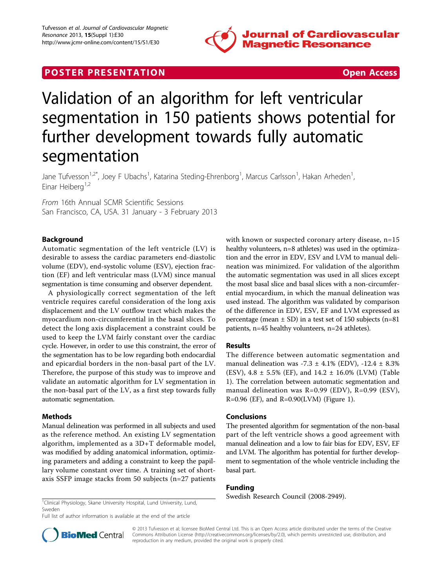

## **POSTER PRESENTATION CONSUMING THE SECOND CONSUMING THE SECOND CONSUMING THE SECOND CONSUMING THE SECOND CONSUMING THE SECOND CONSUMING THE SECOND CONSUMING THE SECOND CONSUMING THE SECOND CONSUMING THE SECOND CONSUMING**



# Validation of an algorithm for left ventricular segmentation in 150 patients shows potential for further development towards fully automatic segmentation

Jane Tufvesson<sup>1,2\*</sup>, Joey F Ubachs<sup>1</sup>, Katarina Steding-Ehrenborg<sup>1</sup>, Marcus Carlsson<sup>1</sup>, Hakan Arheden<sup>1</sup> , Einar Heiberg $1,2$ 

From 16th Annual SCMR Scientific Sessions San Francisco, CA, USA. 31 January - 3 February 2013

### Background

Automatic segmentation of the left ventricle (LV) is desirable to assess the cardiac parameters end-diastolic volume (EDV), end-systolic volume (ESV), ejection fraction (EF) and left ventricular mass (LVM) since manual segmentation is time consuming and observer dependent.

A physiologically correct segmentation of the left ventricle requires careful consideration of the long axis displacement and the LV outflow tract which makes the myocardium non-circumferential in the basal slices. To detect the long axis displacement a constraint could be used to keep the LVM fairly constant over the cardiac cycle. However, in order to use this constraint, the error of the segmentation has to be low regarding both endocardial and epicardial borders in the non-basal part of the LV. Therefore, the purpose of this study was to improve and validate an automatic algorithm for LV segmentation in the non-basal part of the LV, as a first step towards fully automatic segmentation.

#### Methods

Manual delineation was performed in all subjects and used as the reference method. An existing LV segmentation algorithm, implemented as a 3D+T deformable model, was modified by adding anatomical information, optimizing parameters and adding a constraint to keep the papillary volume constant over time. A training set of shortaxis SSFP image stacks from 50 subjects (n=27 patients with known or suspected coronary artery disease, n=15 healthy volunteers, n=8 athletes) was used in the optimization and the error in EDV, ESV and LVM to manual delineation was minimized. For validation of the algorithm the automatic segmentation was used in all slices except the most basal slice and basal slices with a non-circumferential myocardium, in which the manual delineation was used instead. The algorithm was validated by comparison of the difference in EDV, ESV, EF and LVM expressed as percentage (mean  $\pm$  SD) in a test set of 150 subjects (n=81) patients, n=45 healthy volunteers, n=24 athletes).

#### Results

The difference between automatic segmentation and manual delineation was  $-7.3 \pm 4.1\%$  (EDV),  $-12.4 \pm 8.3\%$ (ESV),  $4.8 \pm 5.5\%$  (EF), and  $14.2 \pm 16.0\%$  (LVM) (Table [1\)](#page-1-0). The correlation between automatic segmentation and manual delineation was R=0.99 (EDV), R=0.99 (ESV),  $R=0.96$  (EF), and  $R=0.90$ (LVM) (Figure [1](#page-1-0)).

#### Conclusions

The presented algorithm for segmentation of the non-basal part of the left ventricle shows a good agreement with manual delineation and a low to fair bias for EDV, ESV, EF and LVM. The algorithm has potential for further development to segmentation of the whole ventricle including the basal part.

#### Funding

Swedish Research Council (2008-2949).

<sup>1</sup>Clinical Physiology, Skane University Hospital, Lund University, Lund, Sweden Full list of author information is available at the end of the article



© 2013 Tufvesson et al; licensee BioMed Central Ltd. This is an Open Access article distributed under the terms of the Creative Commons Attribution License [\(http://creativecommons.org/licenses/by/2.0](http://creativecommons.org/licenses/by/2.0)), which permits unrestricted use, distribution, and reproduction in any medium, provided the original work is properly cited.